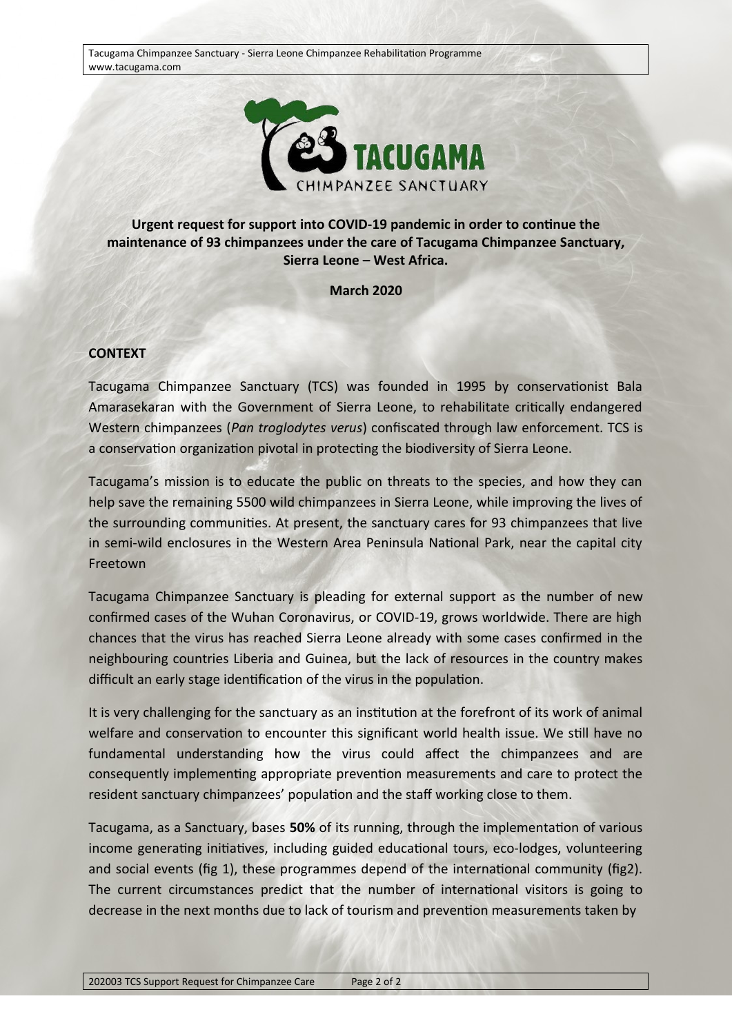Tacugama Chimpanzee Sanctuary - Sierra Leone Chimpanzee Rehabilitation Programme www.tacugama.com



## **Urgent request for support into COVID-19 pandemic in order to continue the maintenance of 93 chimpanzees under the care of Tacugama Chimpanzee Sanctuary, Sierra Leone – West Africa.**

**March 2020**

## **CONTEXT**

Tacugama Chimpanzee Sanctuary (TCS) was founded in 1995 by conservationist Bala Amarasekaran with the Government of Sierra Leone, to rehabilitate critically endangered Western chimpanzees (*Pan troglodytes verus*) confiscated through law enforcement. TCS is a conservation organization pivotal in protecting the biodiversity of Sierra Leone.

Tacugama's mission is to educate the public on threats to the species, and how they can help save the remaining 5500 wild chimpanzees in Sierra Leone, while improving the lives of the surrounding communities. At present, the sanctuary cares for 93 chimpanzees that live in semi-wild enclosures in the Western Area Peninsula National Park, near the capital city Freetown

Tacugama Chimpanzee Sanctuary is pleading for external support as the number of new confirmed cases of the Wuhan Coronavirus, or COVID-19, grows worldwide. There are high chances that the virus has reached Sierra Leone already with some cases confirmed in the neighbouring countries Liberia and Guinea, but the lack of resources in the country makes difficult an early stage identification of the virus in the population.

It is very challenging for the sanctuary as an institution at the forefront of its work of animal welfare and conservation to encounter this significant world health issue. We still have no fundamental understanding how the virus could affect the chimpanzees and are consequently implementing appropriate prevention measurements and care to protect the resident sanctuary chimpanzees' population and the staff working close to them.

Tacugama, as a Sanctuary, bases **50%** of its running, through the implementation of various income generating initiatives, including guided educational tours, eco-lodges, volunteering and social events (fig 1), these programmes depend of the international community (fig2). The current circumstances predict that the number of international visitors is going to decrease in the next months due to lack of tourism and prevention measurements taken by